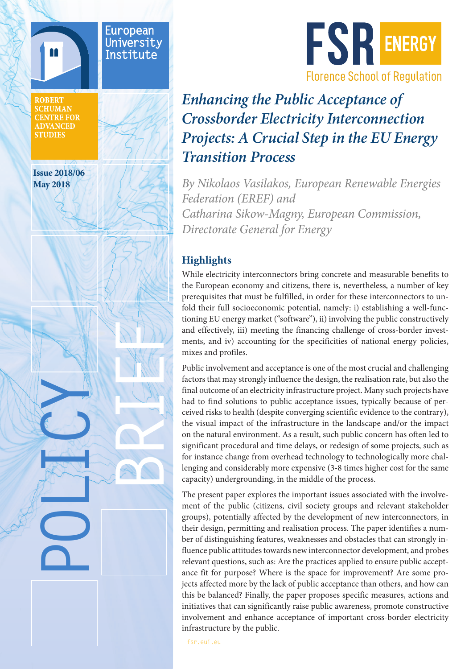

European University Institute

**ROBERT SCHUMAN CENTRE FOR ADVANCED STUDIES** 

**Issue 2018/06 May 2018**

**POLICY**

REFERE



# *Enhancing the Public Acceptance of Crossborder Electricity Interconnection Projects: A Crucial Step in the EU Energy Transition Process*

*By Nikolaos Vasilakos, European Renewable Energies Federation (EREF) and Catharina Sikow-Magny, European Commission, Directorate General for Energy*

## **Highlights**

While electricity interconnectors bring concrete and measurable benefits to the European economy and citizens, there is, nevertheless, a number of key prerequisites that must be fulfilled, in order for these interconnectors to unfold their full socioeconomic potential, namely: i) establishing a well-functioning EU energy market ("software"), ii) involving the public constructively and effectively, iii) meeting the financing challenge of cross-border investments, and iv) accounting for the specificities of national energy policies, mixes and profiles.

Public involvement and acceptance is one of the most crucial and challenging factors that may strongly influence the design, the realisation rate, but also the final outcome of an electricity infrastructure project. Many such projects have had to find solutions to public acceptance issues, typically because of perceived risks to health (despite converging scientific evidence to the contrary), the visual impact of the infrastructure in the landscape and/or the impact on the natural environment. As a result, such public concern has often led to significant procedural and time delays, or redesign of some projects, such as for instance change from overhead technology to technologically more challenging and considerably more expensive (3-8 times higher cost for the same capacity) undergrounding, in the middle of the process.

The present paper explores the important issues associated with the involvement of the public (citizens, civil society groups and relevant stakeholder groups), potentially affected by the development of new interconnectors, in their design, permitting and realisation process. The paper identifies a number of distinguishing features, weaknesses and obstacles that can strongly influence public attitudes towards new interconnector development, and probes relevant questions, such as: Are the practices applied to ensure public acceptance fit for purpose? Where is the space for improvement? Are some projects affected more by the lack of public acceptance than others, and how can this be balanced? Finally, the paper proposes specific measures, actions and initiatives that can significantly raise public awareness, promote constructive involvement and enhance acceptance of important cross-border electricity infrastructure by the public.

fsr.eui.eu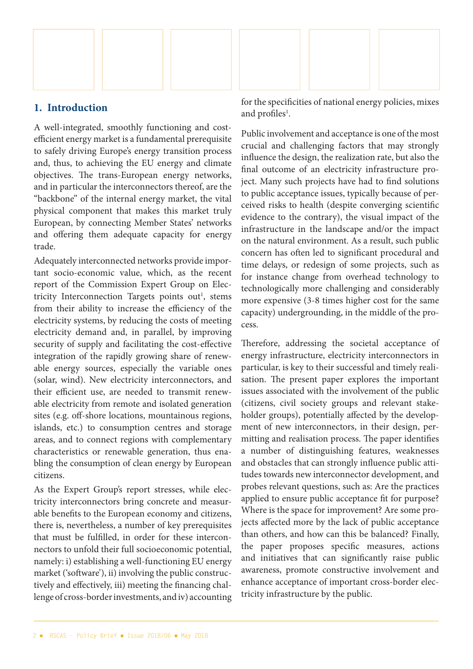

#### **1. Introduction**

A well-integrated, smoothly functioning and costefficient energy market is a fundamental prerequisite to safely driving Europe's energy transition process and, thus, to achieving the EU energy and climate objectives. The trans-European energy networks, and in particular the interconnectors thereof, are the "backbone" of the internal energy market, the vital physical component that makes this market truly European, by connecting Member States' networks and offering them adequate capacity for energy trade.

Adequately interconnected networks provide important socio-economic value, which, as the recent report of the Commission Expert Group on Electricity Interconnection Targets points out<sup>1</sup>, stems from their ability to increase the efficiency of the electricity systems, by reducing the costs of meeting electricity demand and, in parallel, by improving security of supply and facilitating the cost-effective integration of the rapidly growing share of renewable energy sources, especially the variable ones (solar, wind). New electricity interconnectors, and their efficient use, are needed to transmit renewable electricity from remote and isolated generation sites (e.g. off-shore locations, mountainous regions, islands, etc.) to consumption centres and storage areas, and to connect regions with complementary characteristics or renewable generation, thus enabling the consumption of clean energy by European citizens.

As the Expert Group's report stresses, while electricity interconnectors bring concrete and measurable benefits to the European economy and citizens, there is, nevertheless, a number of key prerequisites that must be fulfilled, in order for these interconnectors to unfold their full socioeconomic potential, namely: i) establishing a well-functioning EU energy market ('software'), ii) involving the public constructively and effectively, iii) meeting the financing challenge of cross-border investments, and iv) accounting for the specificities of national energy policies, mixes and profiles<sup>1</sup>.

Public involvement and acceptance is one of the most crucial and challenging factors that may strongly influence the design, the realization rate, but also the final outcome of an electricity infrastructure project. Many such projects have had to find solutions to public acceptance issues, typically because of perceived risks to health (despite converging scientific evidence to the contrary), the visual impact of the infrastructure in the landscape and/or the impact on the natural environment. As a result, such public concern has often led to significant procedural and time delays, or redesign of some projects, such as for instance change from overhead technology to technologically more challenging and considerably more expensive (3-8 times higher cost for the same capacity) undergrounding, in the middle of the process.

Therefore, addressing the societal acceptance of energy infrastructure, electricity interconnectors in particular, is key to their successful and timely realisation. The present paper explores the important issues associated with the involvement of the public (citizens, civil society groups and relevant stakeholder groups), potentially affected by the development of new interconnectors, in their design, permitting and realisation process. The paper identifies a number of distinguishing features, weaknesses and obstacles that can strongly influence public attitudes towards new interconnector development, and probes relevant questions, such as: Are the practices applied to ensure public acceptance fit for purpose? Where is the space for improvement? Are some projects affected more by the lack of public acceptance than others, and how can this be balanced? Finally, the paper proposes specific measures, actions and initiatives that can significantly raise public awareness, promote constructive involvement and enhance acceptance of important cross-border electricity infrastructure by the public.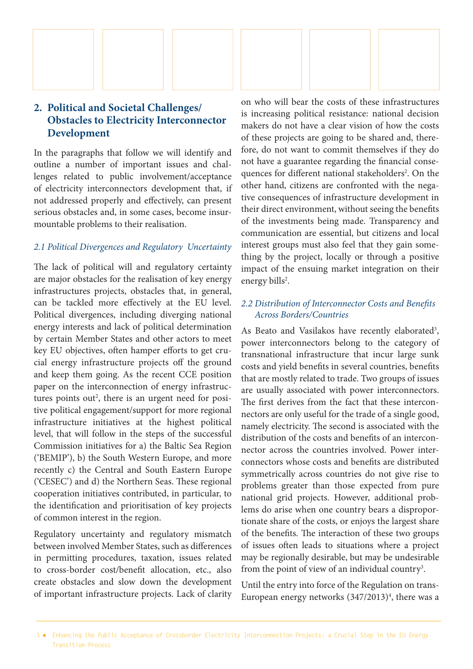

## **2. Political and Societal Challenges/ Obstacles to Electricity Interconnector Development**

In the paragraphs that follow we will identify and outline a number of important issues and challenges related to public involvement/acceptance of electricity interconnectors development that, if not addressed properly and effectively, can present serious obstacles and, in some cases, become insurmountable problems to their realisation.

#### *2.1 Political Divergences and Regulatory Uncertainty*

The lack of political will and regulatory certainty are major obstacles for the realisation of key energy infrastructures projects, obstacles that, in general, can be tackled more effectively at the EU level. Political divergences, including diverging national energy interests and lack of political determination by certain Member States and other actors to meet key EU objectives, often hamper efforts to get crucial energy infrastructure projects off the ground and keep them going. As the recent CCE position paper on the interconnection of energy infrastructures points out<sup>2</sup>, there is an urgent need for positive political engagement/support for more regional infrastructure initiatives at the highest political level, that will follow in the steps of the successful Commission initiatives for a) the Baltic Sea Region ('BEMIP'), b) the South Western Europe, and more recently c) the Central and South Eastern Europe ('CESEC') and d) the Northern Seas. These regional cooperation initiatives contributed, in particular, to the identification and prioritisation of key projects of common interest in the region.

Regulatory uncertainty and regulatory mismatch between involved Member States, such as differences in permitting procedures, taxation, issues related to cross-border cost/benefit allocation, etc., also create obstacles and slow down the development of important infrastructure projects. Lack of clarity on who will bear the costs of these infrastructures is increasing political resistance: national decision makers do not have a clear vision of how the costs of these projects are going to be shared and, therefore, do not want to commit themselves if they do not have a guarantee regarding the financial consequences for different national stakeholders<sup>2</sup>. On the other hand, citizens are confronted with the negative consequences of infrastructure development in their direct environment, without seeing the benefits of the investments being made. Transparency and communication are essential, but citizens and local interest groups must also feel that they gain something by the project, locally or through a positive impact of the ensuing market integration on their energy bills<sup>2</sup>.

### *2.2 Distribution of Interconnector Costs and Benefits Across Borders/Countries*

As Beato and Vasilakos have recently elaborated<sup>3</sup>, power interconnectors belong to the category of transnational infrastructure that incur large sunk costs and yield benefits in several countries, benefits that are mostly related to trade. Two groups of issues are usually associated with power interconnectors. The first derives from the fact that these interconnectors are only useful for the trade of a single good, namely electricity. The second is associated with the distribution of the costs and benefits of an interconnector across the countries involved. Power interconnectors whose costs and benefits are distributed symmetrically across countries do not give rise to problems greater than those expected from pure national grid projects. However, additional problems do arise when one country bears a disproportionate share of the costs, or enjoys the largest share of the benefits. The interaction of these two groups of issues often leads to situations where a project may be regionally desirable, but may be undesirable from the point of view of an individual country<sup>3</sup>.

Until the entry into force of the Regulation on trans-European energy networks (347/2013)<sup>4</sup>, there was a

<sup>3 ■</sup> Enhancing the Public Acceptance of Crossborder Electricity Interconnection Projects: a Crucial Step in the EU Energy Transition Process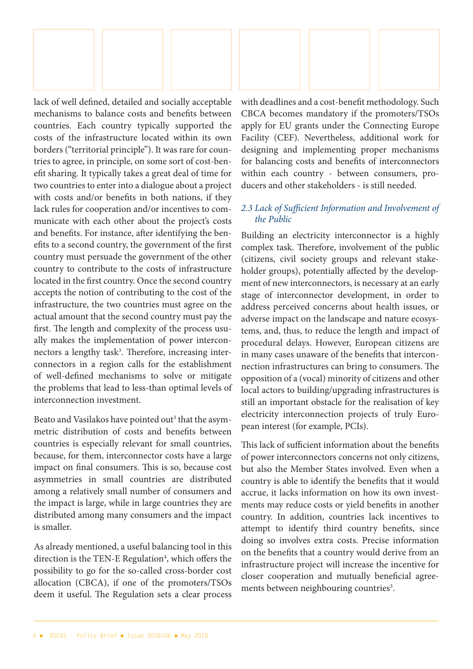

lack of well defined, detailed and socially acceptable mechanisms to balance costs and benefits between countries. Each country typically supported the costs of the infrastructure located within its own borders ("territorial principle"). It was rare for countries to agree, in principle, on some sort of cost-benefit sharing. It typically takes a great deal of time for two countries to enter into a dialogue about a project with costs and/or benefits in both nations, if they lack rules for cooperation and/or incentives to communicate with each other about the project's costs and benefits. For instance, after identifying the benefits to a second country, the government of the first country must persuade the government of the other country to contribute to the costs of infrastructure located in the first country. Once the second country accepts the notion of contributing to the cost of the infrastructure, the two countries must agree on the actual amount that the second country must pay the first. The length and complexity of the process usually makes the implementation of power interconnectors a lengthy task<sup>3</sup>. Therefore, increasing interconnectors in a region calls for the establishment of well-defined mechanisms to solve or mitigate the problems that lead to less-than optimal levels of interconnection investment.

Beato and Vasilakos have pointed out<sup>3</sup> that the asymmetric distribution of costs and benefits between countries is especially relevant for small countries, because, for them, interconnector costs have a large impact on final consumers. This is so, because cost asymmetries in small countries are distributed among a relatively small number of consumers and the impact is large, while in large countries they are distributed among many consumers and the impact is smaller.

As already mentioned, a useful balancing tool in this direction is the TEN-E Regulation<sup>4</sup>, which offers the possibility to go for the so-called cross-border cost allocation (CBCA), if one of the promoters/TSOs deem it useful. The Regulation sets a clear process

with deadlines and a cost-benefit methodology. Such CBCA becomes mandatory if the promoters/TSOs apply for EU grants under the Connecting Europe Facility (CEF). Nevertheless, additional work for designing and implementing proper mechanisms for balancing costs and benefits of interconnectors within each country - between consumers, producers and other stakeholders - is still needed.

#### *2.3 Lack of Sufficient Information and Involvement of the Public*

Building an electricity interconnector is a highly complex task. Therefore, involvement of the public (citizens, civil society groups and relevant stakeholder groups), potentially affected by the development of new interconnectors, is necessary at an early stage of interconnector development, in order to address perceived concerns about health issues, or adverse impact on the landscape and nature ecosystems, and, thus, to reduce the length and impact of procedural delays. However, European citizens are in many cases unaware of the benefits that interconnection infrastructures can bring to consumers. The opposition of a (vocal) minority of citizens and other local actors to building/upgrading infrastructures is still an important obstacle for the realisation of key electricity interconnection projects of truly European interest (for example, PCIs).

This lack of sufficient information about the benefits of power interconnectors concerns not only citizens, but also the Member States involved. Even when a country is able to identify the benefits that it would accrue, it lacks information on how its own investments may reduce costs or yield benefits in another country. In addition, countries lack incentives to attempt to identify third country benefits, since doing so involves extra costs. Precise information on the benefits that a country would derive from an infrastructure project will increase the incentive for closer cooperation and mutually beneficial agreements between neighbouring countries<sup>3</sup>.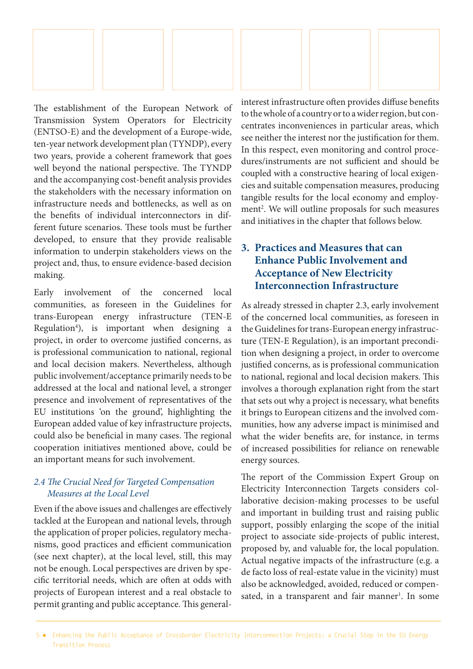

The establishment of the European Network of Transmission System Operators for Electricity (ENTSO-E) and the development of a Europe-wide, ten-year network development plan (TYNDP), every two years, provide a coherent framework that goes well beyond the national perspective. The TYNDP and the accompanying cost-benefit analysis provides the stakeholders with the necessary information on infrastructure needs and bottlenecks, as well as on the benefits of individual interconnectors in different future scenarios. These tools must be further developed, to ensure that they provide realisable information to underpin stakeholders views on the project and, thus, to ensure evidence-based decision making.

Early involvement of the concerned local communities, as foreseen in the Guidelines for trans-European energy infrastructure (TEN-E Regulation<sup>4</sup>), is important when designing a project, in order to overcome justified concerns, as is professional communication to national, regional and local decision makers. Nevertheless, although public involvement/acceptance primarily needs to be addressed at the local and national level, a stronger presence and involvement of representatives of the EU institutions 'on the ground', highlighting the European added value of key infrastructure projects, could also be beneficial in many cases. The regional cooperation initiatives mentioned above, could be an important means for such involvement.

#### *2.4 The Crucial Need for Targeted Compensation Measures at the Local Level*

Even if the above issues and challenges are effectively tackled at the European and national levels, through the application of proper policies, regulatory mechanisms, good practices and efficient communication (see next chapter), at the local level, still, this may not be enough. Local perspectives are driven by specific territorial needs, which are often at odds with projects of European interest and a real obstacle to permit granting and public acceptance. This generalinterest infrastructure often provides diffuse benefits to the whole of a country or to a wider region, but concentrates inconveniences in particular areas, which see neither the interest nor the justification for them. In this respect, even monitoring and control procedures/instruments are not sufficient and should be coupled with a constructive hearing of local exigencies and suitable compensation measures, producing tangible results for the local economy and employment<sup>2</sup>. We will outline proposals for such measures and initiatives in the chapter that follows below.

## **3. Practices and Measures that can Enhance Public Involvement and Acceptance of New Electricity Interconnection Infrastructure**

As already stressed in chapter 2.3, early involvement of the concerned local communities, as foreseen in the Guidelines for trans-European energy infrastructure (TEN-E Regulation), is an important precondition when designing a project, in order to overcome justified concerns, as is professional communication to national, regional and local decision makers. This involves a thorough explanation right from the start that sets out why a project is necessary, what benefits it brings to European citizens and the involved communities, how any adverse impact is minimised and what the wider benefits are, for instance, in terms of increased possibilities for reliance on renewable energy sources.

The report of the Commission Expert Group on Electricity Interconnection Targets considers collaborative decision-making processes to be useful and important in building trust and raising public support, possibly enlarging the scope of the initial project to associate side-projects of public interest, proposed by, and valuable for, the local population. Actual negative impacts of the infrastructure (e.g. a de facto loss of real-estate value in the vicinity) must also be acknowledged, avoided, reduced or compensated, in a transparent and fair manner<sup>1</sup>. In some

5 ■ Enhancing the Public Acceptance of Crossborder Electricity Interconnection Projects: a Crucial Step in the EU Energy Transition Process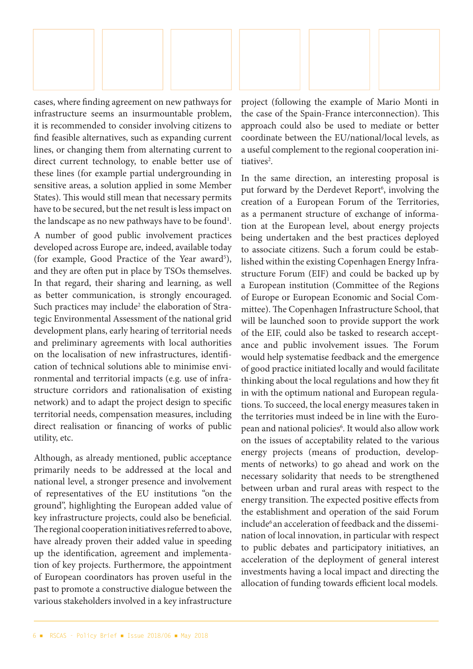

cases, where finding agreement on new pathways for infrastructure seems an insurmountable problem, it is recommended to consider involving citizens to find feasible alternatives, such as expanding current lines, or changing them from alternating current to direct current technology, to enable better use of these lines (for example partial undergrounding in sensitive areas, a solution applied in some Member States). This would still mean that necessary permits have to be secured, but the net result is less impact on the landscape as no new pathways have to be found $^{\rm l}$ .

A number of good public involvement practices developed across Europe are, indeed, available today (for example, Good Practice of the Year award<sup>5</sup>), and they are often put in place by TSOs themselves. In that regard, their sharing and learning, as well as better communication, is strongly encouraged. Such practices may include<sup>2</sup> the elaboration of Strategic Environmental Assessment of the national grid development plans, early hearing of territorial needs and preliminary agreements with local authorities on the localisation of new infrastructures, identification of technical solutions able to minimise environmental and territorial impacts (e.g. use of infrastructure corridors and rationalisation of existing network) and to adapt the project design to specific territorial needs, compensation measures, including direct realisation or financing of works of public utility, etc.

Although, as already mentioned, public acceptance primarily needs to be addressed at the local and national level, a stronger presence and involvement of representatives of the EU institutions "on the ground", highlighting the European added value of key infrastructure projects, could also be beneficial. The regional cooperation initiatives referred to above, have already proven their added value in speeding up the identification, agreement and implementation of key projects. Furthermore, the appointment of European coordinators has proven useful in the past to promote a constructive dialogue between the various stakeholders involved in a key infrastructure

project (following the example of Mario Monti in the case of the Spain-France interconnection). This approach could also be used to mediate or better coordinate between the EU/national/local levels, as a useful complement to the regional cooperation initiatives<sup>2</sup>.

In the same direction, an interesting proposal is put forward by the Derdevet Report<sup>6</sup>, involving the creation of a European Forum of the Territories, as a permanent structure of exchange of information at the European level, about energy projects being undertaken and the best practices deployed to associate citizens. Such a forum could be established within the existing Copenhagen Energy Infrastructure Forum (EIF) and could be backed up by a European institution (Committee of the Regions of Europe or European Economic and Social Committee). The Copenhagen Infrastructure School, that will be launched soon to provide support the work of the EIF, could also be tasked to research acceptance and public involvement issues. The Forum would help systematise feedback and the emergence of good practice initiated locally and would facilitate thinking about the local regulations and how they fit in with the optimum national and European regulations. To succeed, the local energy measures taken in the territories must indeed be in line with the European and national policies<sup>6</sup>. It would also allow work on the issues of acceptability related to the various energy projects (means of production, developments of networks) to go ahead and work on the necessary solidarity that needs to be strengthened between urban and rural areas with respect to the energy transition. The expected positive effects from the establishment and operation of the said Forum include<sup>6</sup> an acceleration of feedback and the dissemination of local innovation, in particular with respect to public debates and participatory initiatives, an acceleration of the deployment of general interest investments having a local impact and directing the allocation of funding towards efficient local models.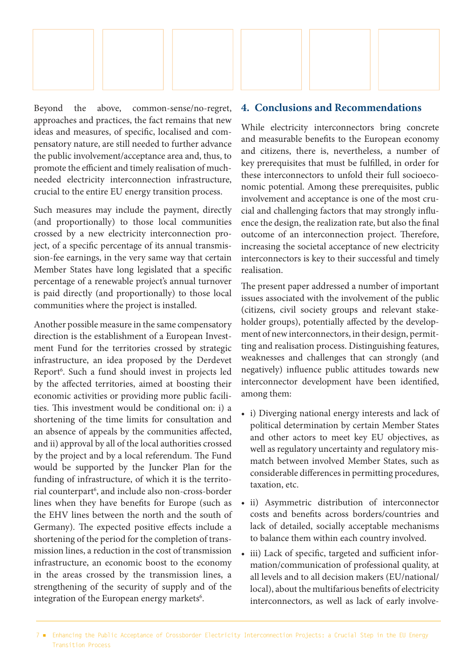

Beyond the above, common-sense/no-regret, approaches and practices, the fact remains that new ideas and measures, of specific, localised and compensatory nature, are still needed to further advance the public involvement/acceptance area and, thus, to promote the efficient and timely realisation of muchneeded electricity interconnection infrastructure, crucial to the entire EU energy transition process.

Such measures may include the payment, directly (and proportionally) to those local communities crossed by a new electricity interconnection project, of a specific percentage of its annual transmission-fee earnings, in the very same way that certain Member States have long legislated that a specific percentage of a renewable project's annual turnover is paid directly (and proportionally) to those local communities where the project is installed.

Another possible measure in the same compensatory direction is the establishment of a European Investment Fund for the territories crossed by strategic infrastructure, an idea proposed by the Derdevet Report6 . Such a fund should invest in projects led by the affected territories, aimed at boosting their economic activities or providing more public facilities. This investment would be conditional on: i) a shortening of the time limits for consultation and an absence of appeals by the communities affected, and ii) approval by all of the local authorities crossed by the project and by a local referendum. The Fund would be supported by the Juncker Plan for the funding of infrastructure, of which it is the territorial counterpart6 , and include also non-cross-border lines when they have benefits for Europe (such as the EHV lines between the north and the south of Germany). The expected positive effects include a shortening of the period for the completion of transmission lines, a reduction in the cost of transmission infrastructure, an economic boost to the economy in the areas crossed by the transmission lines, a strengthening of the security of supply and of the integration of the European energy markets<sup>6</sup>.

#### **4. Conclusions and Recommendations**

While electricity interconnectors bring concrete and measurable benefits to the European economy and citizens, there is, nevertheless, a number of key prerequisites that must be fulfilled, in order for these interconnectors to unfold their full socioeconomic potential. Among these prerequisites, public involvement and acceptance is one of the most crucial and challenging factors that may strongly influence the design, the realization rate, but also the final outcome of an interconnection project. Therefore, increasing the societal acceptance of new electricity interconnectors is key to their successful and timely realisation.

The present paper addressed a number of important issues associated with the involvement of the public (citizens, civil society groups and relevant stakeholder groups), potentially affected by the development of new interconnectors, in their design, permitting and realisation process. Distinguishing features, weaknesses and challenges that can strongly (and negatively) influence public attitudes towards new interconnector development have been identified, among them:

- i) Diverging national energy interests and lack of political determination by certain Member States and other actors to meet key EU objectives, as well as regulatory uncertainty and regulatory mismatch between involved Member States, such as considerable differences in permitting procedures, taxation, etc.
- ii) Asymmetric distribution of interconnector costs and benefits across borders/countries and lack of detailed, socially acceptable mechanisms to balance them within each country involved.
- iii) Lack of specific, targeted and sufficient information/communication of professional quality, at all levels and to all decision makers (EU/national/ local), about the multifarious benefits of electricity interconnectors, as well as lack of early involve-

<sup>7 ■</sup> Enhancing the Public Acceptance of Crossborder Electricity Interconnection Projects: a Crucial Step in the EU Energy Transition Process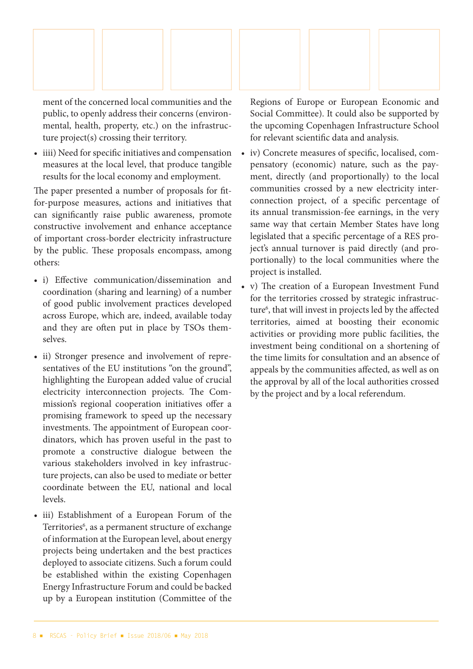

ment of the concerned local communities and the public, to openly address their concerns (environmental, health, property, etc.) on the infrastructure project(s) crossing their territory.

• iiii) Need for specific initiatives and compensation measures at the local level, that produce tangible results for the local economy and employment.

The paper presented a number of proposals for fitfor-purpose measures, actions and initiatives that can significantly raise public awareness, promote constructive involvement and enhance acceptance of important cross-border electricity infrastructure by the public. These proposals encompass, among others:

- i) Effective communication/dissemination and coordination (sharing and learning) of a number of good public involvement practices developed across Europe, which are, indeed, available today and they are often put in place by TSOs themselves.
- ii) Stronger presence and involvement of representatives of the EU institutions "on the ground", highlighting the European added value of crucial electricity interconnection projects. The Commission's regional cooperation initiatives offer a promising framework to speed up the necessary investments. The appointment of European coordinators, which has proven useful in the past to promote a constructive dialogue between the various stakeholders involved in key infrastructure projects, can also be used to mediate or better coordinate between the EU, national and local levels.
- iii) Establishment of a European Forum of the Territories<sup>6</sup>, as a permanent structure of exchange of information at the European level, about energy projects being undertaken and the best practices deployed to associate citizens. Such a forum could be established within the existing Copenhagen Energy Infrastructure Forum and could be backed up by a European institution (Committee of the

Regions of Europe or European Economic and Social Committee). It could also be supported by the upcoming Copenhagen Infrastructure School for relevant scientific data and analysis.

- iv) Concrete measures of specific, localised, compensatory (economic) nature, such as the payment, directly (and proportionally) to the local communities crossed by a new electricity interconnection project, of a specific percentage of its annual transmission-fee earnings, in the very same way that certain Member States have long legislated that a specific percentage of a RES project's annual turnover is paid directly (and proportionally) to the local communities where the project is installed.
- v) The creation of a European Investment Fund for the territories crossed by strategic infrastructure<sup>6</sup>, that will invest in projects led by the affected territories, aimed at boosting their economic activities or providing more public facilities, the investment being conditional on a shortening of the time limits for consultation and an absence of appeals by the communities affected, as well as on the approval by all of the local authorities crossed by the project and by a local referendum.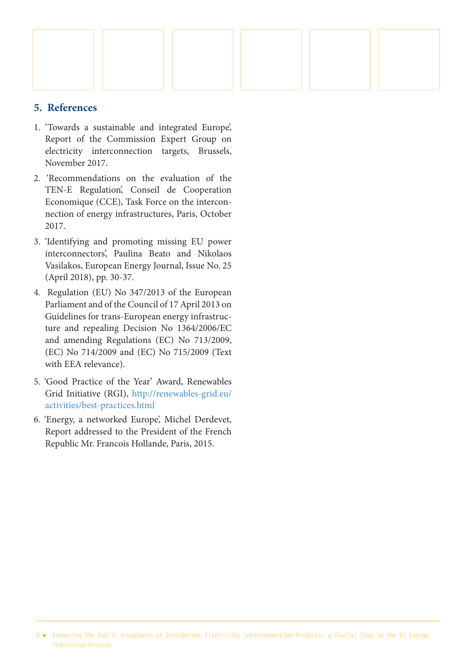

#### **5. References**

- 1. 'Towards a sustainable and integrated Europe', Report of the Commission Expert Group on electricity interconnection targets, Brussels, November 2017.
- 2. 'Recommendations on the evaluation of the TEN-E Regulation', Conseil de Cooperation Economique (CCE), Task Force on the interconnection of energy infrastructures, Paris, October 2017.
- 3. 'Identifying and promoting missing EU power interconnectors', Paulina Beato and Nikolaos Vasilakos, European Energy Journal, Issue No. 25 (April 2018), pp. 30-37.
- 4. Regulation (EU) No 347/2013 of the European Parliament and of the Council of 17 April 2013 on Guidelines for trans-European energy infrastructure and repealing Decision No 1364/2006/EC and amending Regulations (EC) No 713/2009, (EC) No 714/2009 and (EC) No 715/2009 (Text with EEA relevance).
- 5. 'Good Practice of the Year' Award, Renewables Grid Initiative (RGI), http://renewables-grid.eu/ activities/best-practices.html
- 6. 'Energy, a networked Europe', Michel Derdevet, Report addressed to the President of the French Republic Mr. Francois Hollande, Paris, 2015.

<sup>9 ■</sup> Enhancing the Public Acceptance of Crossborder Electricity Interconnection Projects: a Crucial Step in the EU Energy Transition Process